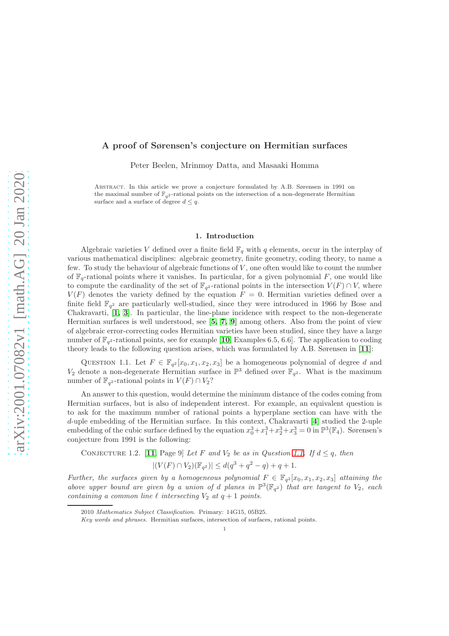# A proof of Sørensen's conjecture on Hermitian surfaces

Peter Beelen, Mrinmoy Datta, and Masaaki Homma

Abstract. In this article we prove a conjecture formulated by A.B. Sørensen in 1991 on the maximal number of  $\mathbb{F}_{q^2}$ -rational points on the intersection of a non-degenerate Hermitian surface and a surface of degree  $d \leq q$ .

### 1. Introduction

Algebraic varieties V defined over a finite field  $\mathbb{F}_q$  with q elements, occur in the interplay of various mathematical disciplines: algebraic geometry, finite geometry, coding theory, to name a few. To study the behaviour of algebraic functions of  $V$ , one often would like to count the number of  $\mathbb{F}_{q}$ -rational points where it vanishes. In particular, for a given polynomial F, one would like to compute the cardinality of the set of  $\mathbb{F}_{q^2}$ -rational points in the intersection  $V(F) \cap V$ , where  $V(F)$  denotes the variety defined by the equation  $F = 0$ . Hermitian varieties defined over a finite field  $\mathbb{F}_{q^2}$  are particularly well-studied, since they were introduced in 1966 by Bose and Chakravarti, [[1,](#page-8-0) [3](#page-8-1)]. In particular, the line-plane incidence with respect to the non-degenerate Hermitian surfaces is well understood, see  $[5, 7, 9]$  $[5, 7, 9]$  $[5, 7, 9]$  $[5, 7, 9]$  $[5, 7, 9]$  among others. Also from the point of view of algebraic error-correcting codes Hermitian varieties have been studied, since they have a large number of  $\mathbb{F}_{q^2}$ -rational points, see for example [[10](#page-8-5), Examples 6.5, 6.6]. The application to coding theory leads to the following question arises, which was formulated by A.B. Sørensen in [[11](#page-8-6)]:

<span id="page-0-0"></span>QUESTION 1.1. Let  $F \in \mathbb{F}_{q^2}[x_0, x_1, x_2, x_3]$  be a homogeneous polynomial of degree d and  $V_2$  denote a non-degenerate Hermitian surface in  $\mathbb{P}^3$  defined over  $\mathbb{F}_{q^2}$ . What is the maximum number of  $\mathbb{F}_{q^2}$ -rational points in  $V(F) \cap V_2$ ?

An answer to this question, would determine the minimum distance of the codes coming from Hermitian surfaces, but is also of independent interest. For example, an equivalent question is to ask for the maximum number of rational points a hyperplane section can have with the d-uple embedding of the Hermitian surface. In this context, Chakravarti [[4](#page-8-7)] studied the 2-uple embedding of the cubic surface defined by the equation  $x_0^3 + x_1^3 + x_2^3 + x_3^3 = 0$  in  $\mathbb{P}^3(\mathbb{F}_4)$ . Sørensen's conjecture from 1991 is the following:

<span id="page-0-1"></span>CONJECTURE 1.2. [[11](#page-8-6), Page 9] Let F and  $V_2$  be as in Question [1.1.](#page-0-0) If  $d \leq q$ , then  $|(V(F) \cap V_2)(\mathbb{F}_{q^2})| \leq d(q^3 + q^2 - q) + q + 1.$ 

Further, the surfaces given by a homogeneous polynomial  $F \in \mathbb{F}_{q^2}[x_0, x_1, x_2, x_3]$  attaining the above upper bound are given by a union of d planes in  $\mathbb{P}^3(\mathbb{F}_{q^2})$  that are tangent to  $V_2$ , each containing a common line  $\ell$  intersecting  $V_2$  at  $q+1$  points.

<sup>2010</sup> Mathematics Subject Classification. Primary: 14G15, 05B25.

Key words and phrases. Hermitian surfaces, intersection of surfaces, rational points.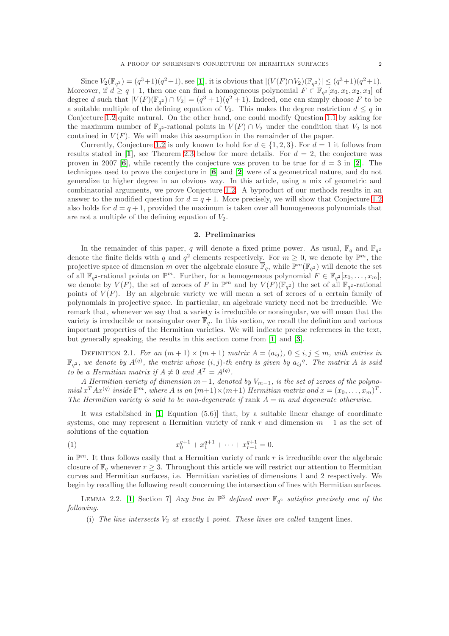Since  $V_2(\mathbb{F}_{q^2}) = (q^3+1)(q^2+1)$  $V_2(\mathbb{F}_{q^2}) = (q^3+1)(q^2+1)$  $V_2(\mathbb{F}_{q^2}) = (q^3+1)(q^2+1)$ , see [1], it is obvious that  $|(V(F) \cap V_2)(\mathbb{F}_{q^2})| \leq (q^3+1)(q^2+1)$ . Moreover, if  $d \geq q+1$ , then one can find a homogeneous polynomial  $F \in \mathbb{F}_{q^2}[x_0, x_1, x_2, x_3]$  of degree d such that  $|V(F)(\mathbb{F}_{q^2}) \cap V_2| = (q^3 + 1)(q^2 + 1)$ . Indeed, one can simply choose F to be a suitable multiple of the defining equation of  $V_2$ . This makes the degree restriction  $d \leq q$  in Conjecture [1.2](#page-0-1) quite natural. On the other hand, one could modify Question [1.1](#page-0-0) by asking for the maximum number of  $\mathbb{F}_{q^2}$ -rational points in  $V(F) \cap V_2$  under the condition that  $V_2$  is not contained in  $V(F)$ . We will make this assumption in the remainder of the paper.

Currently, Conjecture [1.2](#page-0-1) is only known to hold for  $d \in \{1, 2, 3\}$ . For  $d = 1$  it follows from results stated in [[1](#page-8-0)], see Theorem [2.3](#page-2-0) below for more details. For  $d = 2$ , the conjecture was proven in 2007 [[6](#page-8-8)], while recently the conjecture was proven to be true for  $d = 3$  in [[2](#page-8-9)]. The techniques used to prove the conjecture in [[6](#page-8-8)] and [[2](#page-8-9)] were of a geometrical nature, and do not generalize to higher degree in an obvious way. In this article, using a mix of geometric and combinatorial arguments, we prove Conjecture [1.2.](#page-0-1) A byproduct of our methods results in an answer to the modified question for  $d = q + 1$ . More precisely, we will show that Conjecture [1.2](#page-0-1) also holds for  $d = q + 1$ , provided the maximum is taken over all homogeneous polynomials that are not a multiple of the defining equation of  $V_2$ .

### 2. Preliminaries

<span id="page-1-0"></span>In the remainder of this paper, q will denote a fixed prime power. As usual,  $\mathbb{F}_q$  and  $\mathbb{F}_{q^2}$ denote the finite fields with q and  $q^2$  elements respectively. For  $m \geq 0$ , we denote by  $\mathbb{P}^m$ , the projective space of dimension m over the algebraic closure  $\overline{\mathbb{F}}_q$ , while  $\mathbb{P}^m(\mathbb{F}_{q^2})$  will denote the set of all  $\mathbb{F}_{q^2}$ -rational points on  $\mathbb{P}^m$ . Further, for a homogeneous polynomial  $F \in \mathbb{F}_{q^2}[x_0,\ldots,x_m],$ we denote by  $V(F)$ , the set of zeroes of F in  $\mathbb{P}^m$  and by  $V(F)(\mathbb{F}_{q^2})$  the set of all  $\mathbb{F}_{q^2}$ -rational points of  $V(F)$ . By an algebraic variety we will mean a set of zeroes of a certain family of polynomials in projective space. In particular, an algebraic variety need not be irreducible. We remark that, whenever we say that a variety is irreducible or nonsingular, we will mean that the variety is irreducible or nonsingular over  $\overline{\mathbb{F}}_q$ . In this section, we recall the definition and various important properties of the Hermitian varieties. We will indicate precise references in the text, but generally speaking, the results in this section come from [[1](#page-8-0)] and [[3](#page-8-1)].

DEFINITION 2.1. For an  $(m + 1) \times (m + 1)$  matrix  $A = (a_{ij})$ ,  $0 \le i, j \le m$ , with entries in  $\mathbb{F}_{q^2}$ , we denote by  $A^{(q)}$ , the matrix whose  $(i, j)$ -th entry is given by  $a_{ij}{}^q$ . The matrix A is said to be a Hermitian matrix if  $A \neq 0$  and  $A<sup>T</sup> = A<sup>(q)</sup>$ .

A Hermitian variety of dimension  $m-1$ , denoted by  $V_{m-1}$ , is the set of zeroes of the polynomial  $x^T A x^{(q)}$  inside  $\mathbb{P}^m$ , where A is an  $(m+1) \times (m+1)$  Hermitian matrix and  $x = (x_0, \ldots, x_m)^T$ . The Hermitian variety is said to be non-degenerate if  $\text{rank } A = m$  and degenerate otherwise.

It was established in  $[1,$  $[1,$  $[1,$  Equation  $(5.6)$  that, by a suitable linear change of coordinate systems, one may represent a Hermitian variety of rank r and dimension  $m-1$  as the set of solutions of the equation

(1) 
$$
x_0^{q+1} + x_1^{q+1} + \cdots + x_{r-1}^{q+1} = 0.
$$

in  $\mathbb{P}^m$ . It thus follows easily that a Hermitian variety of rank r is irreducible over the algebraic closure of  $\mathbb{F}_q$  whenever  $r \geq 3$ . Throughout this article we will restrict our attention to Hermitian curves and Hermitian surfaces, i.e. Hermitian varieties of dimensions 1 and 2 respectively. We begin by recalling the following result concerning the intersection of lines with Hermitian surfaces.

LEMMA 2.2. [[1](#page-8-0), Section 7] Any line in  $\mathbb{P}^3$  defined over  $\mathbb{F}_{q^2}$  satisfies precisely one of the following.

(i) The line intersects  $V_2$  at exactly 1 point. These lines are called tangent lines.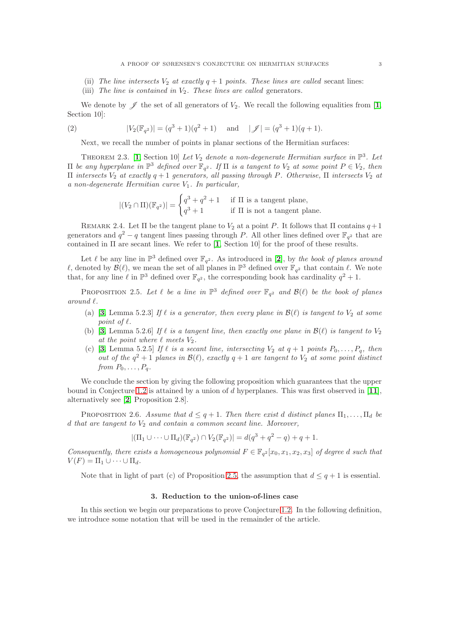- (ii) The line intersects  $V_2$  at exactly  $q + 1$  points. These lines are called secant lines:
- (iii) The line is contained in  $V_2$ . These lines are called generators.

We denote by  $\mathscr I$  the set of all generators of  $V_2$ . We recall the following equalities from  $[1,$  $[1,$  $[1,$ Section 10]:

(2) 
$$
|V_2(\mathbb{F}_{q^2})| = (q^3 + 1)(q^2 + 1)
$$
 and  $|\mathcal{J}| = (q^3 + 1)(q + 1)$ .

Next, we recall the number of points in planar sections of the Hermitian surfaces:

<span id="page-2-0"></span>THEOREM 2.3. [[1](#page-8-0), Section 10] Let  $V_2$  denote a non-degenerate Hermitian surface in  $\mathbb{P}^3$ . Let II be any hyperplane in  $\mathbb{P}^3$  defined over  $\mathbb{F}_{q^2}$ . If Π is a tangent to  $V_2$  at some point  $P ∈ V_2$ , then  $\Pi$  intersects  $V_2$  at exactly  $q + 1$  generators, all passing through P. Otherwise,  $\Pi$  intersects  $V_2$  at a non-degenerate Hermitian curve  $V_1$ . In particular,

$$
|(V_2 \cap \Pi)(\mathbb{F}_{q^2})| = \begin{cases} q^3 + q^2 + 1 & \text{if } \Pi \text{ is a tangent plane,} \\ q^3 + 1 & \text{if } \Pi \text{ is not a tangent plane.} \end{cases}
$$

REMARK 2.4. Let  $\Pi$  be the tangent plane to  $V_2$  at a point P. It follows that  $\Pi$  contains  $q+1$ generators and  $q^2 - q$  tangent lines passing through P. All other lines defined over  $\mathbb{F}_{q^2}$  that are contained in Π are secant lines. We refer to [[1](#page-8-0), Section 10] for the proof of these results.

Let  $\ell$  be any line in  $\mathbb{P}^3$  defined over  $\mathbb{F}_{q^2}$  $\mathbb{F}_{q^2}$  $\mathbb{F}_{q^2}$ . As introduced in [2], by the book of planes around l, denoted by  $\mathcal{B}(\ell)$ , we mean the set of all planes in  $\mathbb{P}^3$  defined over  $\mathbb{F}_{q^2}$  that contain  $\ell$ . We note that, for any line  $\ell$  in  $\mathbb{P}^3$  defined over  $\mathbb{F}_{q^2}$ , the corresponding book has cardinality  $q^2 + 1$ .

<span id="page-2-1"></span>PROPOSITION 2.5. Let  $\ell$  be a line in  $\mathbb{P}^3$  defined over  $\mathbb{F}_{q^2}$  and  $\mathcal{B}(\ell)$  be the book of planes  $around \ell$ .

- (a) [[3](#page-8-1), Lemma 5.2.3] If  $\ell$  is a generator, then every plane in  $\mathcal{B}(\ell)$  is tangent to  $V_2$  at some point of  $\ell$ .
- (b) [[3](#page-8-1), Lemma 5.2.6] If  $\ell$  is a tangent line, then exactly one plane in  $\mathcal{B}(\ell)$  is tangent to  $V_2$ at the point where  $\ell$  meets  $V_2$ .
- (c) [[3](#page-8-1), Lemma 5.2.5] If  $\ell$  is a secant line, intersecting  $V_2$  at  $q + 1$  points  $P_0, \ldots, P_q$ , then out of the  $q^2 + 1$  planes in  $\mathcal{B}(\ell)$ , exactly  $q + 1$  are tangent to  $V_2$  at some point distinct from  $P_0, \ldots, P_a$ .

We conclude the section by giving the following proposition which guarantees that the upper bound in Conjecture [1.2](#page-0-1) is attained by a union of d hyperplanes. This was first observed in [[11](#page-8-6)], alternatively see [[2](#page-8-9), Proposition 2.8].

PROPOSITION 2.6. Assume that  $d \leq q+1$ . Then there exist d distinct planes  $\Pi_1, \ldots, \Pi_d$  be d that are tangent to  $V_2$  and contain a common secant line. Moreover,

$$
|(\Pi_1 \cup \cdots \cup \Pi_d)(\mathbb{F}_{q^2}) \cap V_2(\mathbb{F}_{q^2})| = d(q^3 + q^2 - q) + q + 1.
$$

Consequently, there exists a homogeneous polynomial  $F \in \mathbb{F}_{q^2}[x_0, x_1, x_2, x_3]$  of degree d such that  $V(F) = \Pi_1 \cup \cdots \cup \Pi_d.$ 

Note that in light of part (c) of Proposition [2.5,](#page-2-1) the assumption that  $d \leq q+1$  is essential.

### 3. Reduction to the union-of-lines case

In this section we begin our preparations to prove Conjecture [1.2.](#page-0-1) In the following definition, we introduce some notation that will be used in the remainder of the article.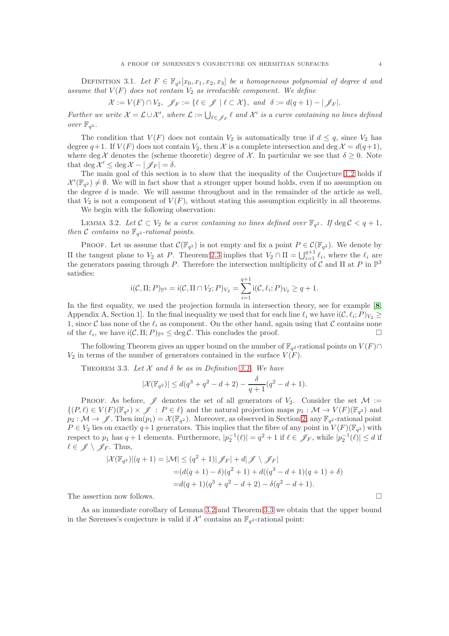<span id="page-3-0"></span>DEFINITION 3.1. Let  $F \in \mathbb{F}_{q^2}[x_0, x_1, x_2, x_3]$  be a homogeneous polynomial of degree d and assume that  $V(F)$  does not contain  $V_2$  as irreducible component. We define

$$
\mathcal{X} := V(F) \cap V_2, \ \mathscr{J}_F := \{ \ell \in \mathscr{J} \mid \ell \subset \mathcal{X} \}, \ and \ \delta := d(q+1) - |\mathscr{J}_F|.
$$

Further we write  $\mathcal{X} = \mathcal{L} \cup \mathcal{X}'$ , where  $\mathcal{L} := \bigcup_{\ell \in \mathscr{J}_F} \ell$  and  $\mathcal{X}'$  is a curve containing no lines defined over  $\mathbb{F}_{q^2}$ .

The condition that  $V(F)$  does not contain  $V_2$  is automatically true if  $d \leq q$ , since  $V_2$  has degree q+1. If  $V(F)$  does not contain  $V_2$ , then X is a complete intersection and deg  $\mathcal{X} = d(q+1)$ , where deg X denotes the (scheme theoretic) degree of X. In particular we see that  $\delta \geq 0$ . Note that deg  $\mathcal{X}' \leq \deg \mathcal{X} - |\mathscr{J}_F| = \delta.$ 

The main goal of this section is to show that the inequality of the Conjecture [1.2](#page-0-1) holds if  $\mathcal{X}'(\mathbb{F}_{q^2}) \neq \emptyset$ . We will in fact show that a stronger upper bound holds, even if no assumption on the degree  $d$  is made. We will assume throughout and in the remainder of the article as well, that  $V_2$  is not a component of  $V(F)$ , without stating this assumption explicitly in all theorems.

We begin with the following observation:

<span id="page-3-1"></span>LEMMA 3.2. Let  $\mathcal{C} \subset V_2$  be a curve containing no lines defined over  $\mathbb{F}_{q^2}$ . If  $\deg \mathcal{C} < q + 1$ , then C contains no  $\mathbb{F}_{q^2}$ -rational points.

PROOF. Let us assume that  $\mathcal{C}(\mathbb{F}_{q^2})$  is not empty and fix a point  $P \in \mathcal{C}(\mathbb{F}_{q^2})$ . We denote by II the tangent plane to  $V_2$  at P. Theorem [2.3](#page-2-0) implies that  $V_2 ∩ Π = \bigcup_{i=1}^{q+1} \ell_i$ , where the  $\ell_i$  are the generators passing through P. Therefore the intersection multiplicity of C and  $\Pi$  at P in  $\mathbb{P}^3$ satisfies:

$$
i(\mathcal{C}, \Pi; P)_{\mathbb{P}^3} = i(\mathcal{C}, \Pi \cap V_2; P)_{V_2} = \sum_{i=1}^{q+1} i(\mathcal{C}, \ell_i; P)_{V_2} \ge q+1.
$$

In the first equality, we used the projection formula in intersection theory, see for example [[8](#page-8-10), Appendix A, Section 1. In the final inequality we used that for each line  $\ell_i$  we have  $i(\mathcal{C}, \ell_i; P)_{V_2} \geq$ 1, since C has none of the  $\ell_i$  as component. On the other hand, again using that C contains none of the  $\ell_i$ , we have  $\mathsf{i}(\mathcal{C}, \Pi; P)_{\mathbb{P}^3} \leq \deg \mathcal{C}$ . This concludes the proof.

The following Theorem gives an upper bound on the number of  $\mathbb{F}_{q^2}$ -rational points on  $V(F) \cap$  $V_2$  in terms of the number of generators contained in the surface  $V(F)$ .

<span id="page-3-2"></span>THEOREM 3.3. Let  $X$  and  $\delta$  be as in Definition [3.1.](#page-3-0) We have

$$
|\mathcal{X}(\mathbb{F}_{q^2})| \le d(q^3 + q^2 - d + 2) - \frac{\delta}{q+1}(q^2 - d + 1).
$$

PROOF. As before,  $\mathscr J$  denotes the set of all generators of  $V_2$ . Consider the set  $\mathcal M$  :=  $\{(P,\ell) \in V(F)(\mathbb{F}_{q^2}) \times \mathscr{J} : P \in \ell \}$  and the natural projection maps  $p_1 : \mathcal{M} \to V(F)(\mathbb{F}_{q^2})$  and  $p_2 : \mathcal{M} \to \mathscr{J}$ . Then  $\text{im}(p_1) = \mathcal{X}(\mathbb{F}_{q^2})$ . Moreover, as observed in Section [2,](#page-1-0) any  $\mathbb{F}_{q^2}$ -rational point  $P \in V_2$  lies on exactly  $q+1$  generators. This implies that the fibre of any point in  $V(F)(\mathbb{F}_{q^2})$  with respect to  $p_1$  has  $q+1$  elements. Furthermore,  $|p_2^{-1}(\ell)| = q^2 + 1$  if  $\ell \in \mathscr{J}_F$ , while  $|p_2^{-1}(\ell)| \leq d$  if  $\ell \in \mathscr{J} \setminus \mathscr{J}_F$ . Thus,

$$
|\mathcal{X}(\mathbb{F}_{q^2})|(q+1) = |\mathcal{M}| \leq (q^2+1)|\mathscr{J}_F| + d|\mathscr{J} \setminus \mathscr{J}_F|
$$
  
=  $(d(q+1) - \delta)(q^2 + 1) + d((q^3 - d + 1)(q + 1) + \delta)$   
=  $d(q+1)(q^3 + q^2 - d + 2) - \delta(q^2 - d + 1).$ 

The assertion now follows.  $\Box$ 

As an immediate corollary of Lemma [3.2](#page-3-1) and Theorem [3.3](#page-3-2) we obtain that the upper bound in the Sørenses's conjecture is valid if  $\mathcal{X}'$  contains an  $\mathbb{F}_{q^2}$ -rational point: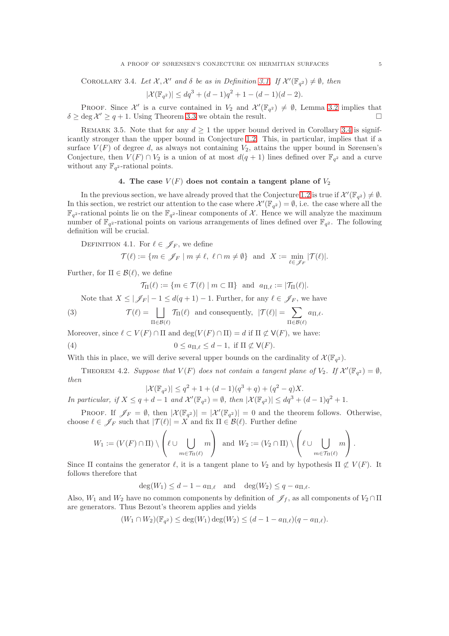# <span id="page-4-0"></span>COROLLARY 3.4. Let  $\mathcal{X}, \mathcal{X}'$  and  $\delta$  be as in Definition [3.1.](#page-3-0) If  $\mathcal{X}'(\mathbb{F}_{q^2}) \neq \emptyset$ , then

$$
|\mathcal{X}(\mathbb{F}_{q^2})| \le dq^3 + (d-1)q^2 + 1 - (d-1)(d-2).
$$

PROOF. Since X' is a curve contained in  $V_2$  and  $\mathcal{X}'(\mathbb{F}_{q^2}) \neq \emptyset$ , Lemma [3.2](#page-3-1) implies that  $\delta \ge \deg \mathcal{X}' \ge q+1$ . Using Theorem [3.3](#page-3-2) we obtain the result.

REMARK 3.5. Note that for any  $d \geq 1$  the upper bound derived in Corollary [3.4](#page-4-0) is significantly stronger than the upper bound in Conjecture [1.2.](#page-0-1) This, in particular, implies that if a surface  $V(F)$  of degree d, as always not containing  $V_2$ , attains the upper bound in Sørensen's Conjecture, then  $V(F) \cap V_2$  is a union of at most  $d(q + 1)$  lines defined over  $\mathbb{F}_{q^2}$  and a curve without any  $\mathbb{F}_{q^2}$ -rational points.

## 4. The case  $V(F)$  does not contain a tangent plane of  $V_2$

In the previous section, we have already proved that the Conjecture [1.2](#page-0-1) is true if  $\mathcal{X}'(\mathbb{F}_{q^2}) \neq \emptyset$ . In this section, we restrict our attention to the case where  $\mathcal{X}'(\mathbb{F}_{q^2}) = \emptyset$ , i.e. the case where all the  $\mathbb{F}_{q^2}$ -rational points lie on the  $\mathbb{F}_{q^2}$ -linear components of X. Hence we will analyze the maximum number of  $\mathbb{F}_{q^2}$ -rational points on various arrangements of lines defined over  $\mathbb{F}_{q^2}$ . The following definition will be crucial.

DEFINITION 4.1. For  $\ell \in \mathscr{J}_F$ , we define

$$
\mathcal{T}(\ell) := \{ m \in \mathscr{J}_F \mid m \neq \ell, \ \ell \cap m \neq \emptyset \} \ \text{ and } \ X := \min_{\ell \in \mathscr{J}_F} |\mathcal{T}(\ell)|.
$$

Further, for  $\Pi \in \mathcal{B}(\ell)$ , we define

<span id="page-4-1"></span> $\mathcal{T}_{\Pi}(\ell) := \{ m \in \mathcal{T}(\ell) \mid m \subset \Pi \}$  and  $a_{\Pi,\ell} := |\mathcal{T}_{\Pi}(\ell)|$ .

Note that  $X \leq |\mathscr{J}_F| - 1 \leq d(q+1) - 1$ . Further, for any  $\ell \in \mathscr{J}_F$ , we have

(3) 
$$
\mathcal{T}(\ell) = \bigsqcup_{\Pi \in \mathcal{B}(\ell)} \mathcal{T}_{\Pi}(\ell) \text{ and consequently, } |\mathcal{T}(\ell)| = \sum_{\Pi \in \mathcal{B}(\ell)} a_{\Pi,\ell}.
$$

Moreover, since  $\ell \subset V(F) \cap \Pi$  and  $\deg(V(F) \cap \Pi) = d$  if  $\Pi \not\subset V(F)$ , we have:

(4) 
$$
0 \le a_{\Pi,\ell} \le d-1, \text{ if } \Pi \not\subset \mathsf{V}(F).
$$

With this in place, we will derive several upper bounds on the cardinality of  $\mathcal{X}(\mathbb{F}_{q^2})$ .

<span id="page-4-3"></span>THEOREM 4.2. Suppose that  $V(F)$  does not contain a tangent plane of  $V_2$ . If  $\mathcal{X}'(\mathbb{F}_{q^2}) = \emptyset$ , then

<span id="page-4-2"></span>
$$
|\mathcal{X}(\mathbb{F}_{q^2})| \leq q^2 + 1 + (d-1)(q^3 + q) + (q^2 - q)X.
$$

In particular, if  $X \leq q + d - 1$  and  $\mathcal{X}'(\mathbb{F}_{q^2}) = \emptyset$ , then  $|\mathcal{X}(\mathbb{F}_{q^2})| \leq dq^3 + (d-1)q^2 + 1$ .

PROOF. If  $\mathscr{J}_F = \emptyset$ , then  $|\mathcal{X}(\mathbb{F}_{q^2})| = |\mathcal{X}'(\mathbb{F}_{q^2})| = 0$  and the theorem follows. Otherwise, choose  $\ell \in \mathscr{J}_F$  such that  $|\mathcal{T}(\ell)| = X$  and fix  $\Pi \in \mathcal{B}(\ell)$ . Further define

$$
W_1 := (V(F) \cap \Pi) \setminus \left(\ell \cup \bigcup_{m \in \mathcal{T}_{\Pi}(\ell)} m\right) \text{ and } W_2 := (V_2 \cap \Pi) \setminus \left(\ell \cup \bigcup_{m \in \mathcal{T}_{\Pi}(\ell)} m\right).
$$

Since Π contains the generator  $\ell$ , it is a tangent plane to  $V_2$  and by hypothesis  $\Pi \not\subset V(F)$ . It follows therefore that

 $deg(W_1) \leq d - 1 - a_{\Pi,\ell}$  and  $deg(W_2) \leq q - a_{\Pi,\ell}$ .

Also,  $W_1$  and  $W_2$  have no common components by definition of  $\mathscr{J}_f$ , as all components of  $V_2 \cap \Pi$ are generators. Thus Bezout's theorem applies and yields

$$
(W_1 \cap W_2)(\mathbb{F}_{q^2}) \le \deg(W_1) \deg(W_2) \le (d - 1 - a_{\Pi,\ell})(q - a_{\Pi,\ell}).
$$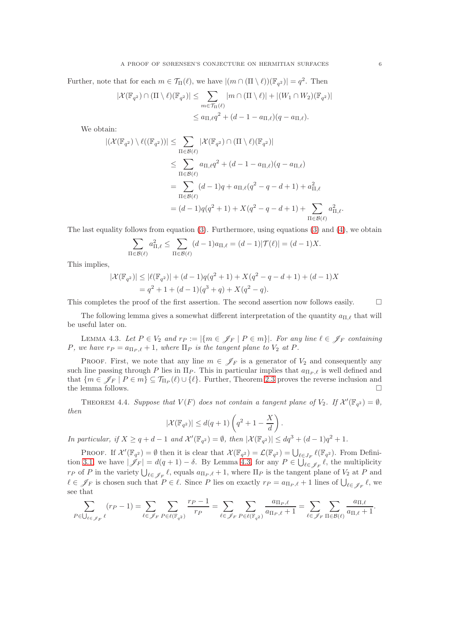Further, note that for each  $m \in \mathcal{T}_{\Pi}(\ell)$ , we have  $|(m \cap (\Pi \setminus \ell))(\mathbb{F}_{q^2})| = q^2$ . Then

$$
|\mathcal{X}(\mathbb{F}_{q^2}) \cap (\Pi \setminus \ell)(\mathbb{F}_{q^2})| \leq \sum_{m \in \mathcal{T}_{\Pi}(\ell)} |m \cap (\Pi \setminus \ell)| + |(W_1 \cap W_2)(\mathbb{F}_{q^2})|
$$
  

$$
\leq a_{\Pi,\ell} q^2 + (d - 1 - a_{\Pi,\ell})(q - a_{\Pi,\ell}).
$$

We obtain:

$$
|(\mathcal{X}(\mathbb{F}_{q^2}) \setminus \ell((\mathbb{F}_{q^2}))| \leq \sum_{\Pi \in \mathcal{B}(\ell)} |\mathcal{X}(\mathbb{F}_{q^2}) \cap (\Pi \setminus \ell)(\mathbb{F}_{q^2})|
$$
  
\n
$$
\leq \sum_{\Pi \in \mathcal{B}(\ell)} a_{\Pi,\ell} q^2 + (d - 1 - a_{\Pi,\ell})(q - a_{\Pi,\ell})
$$
  
\n
$$
= \sum_{\Pi \in \mathcal{B}(\ell)} (d - 1)q + a_{\Pi,\ell}(q^2 - q - d + 1) + a_{\Pi,\ell}^2
$$
  
\n
$$
= (d - 1)q(q^2 + 1) + X(q^2 - q - d + 1) + \sum_{\Pi \in \mathcal{B}(\ell)} a_{\Pi,\ell}^2.
$$

The last equality follows from equation [\(3\)](#page-4-1). Furthermore, using equations [\(3\)](#page-4-1) and [\(4\)](#page-4-2), we obtain

$$
\sum_{\Pi \in \mathcal{B}(\ell)} a_{\Pi,\ell}^2 \le \sum_{\Pi \in \mathcal{B}(\ell)} (d-1) a_{\Pi,\ell} = (d-1) |\mathcal{T}(\ell)| = (d-1) X.
$$

This implies,

$$
|\mathcal{X}(\mathbb{F}_{q^2})| \leq |\ell(\mathbb{F}_{q^2})| + (d-1)q(q^2+1) + X(q^2-q-d+1) + (d-1)X
$$
  
=  $q^2 + 1 + (d-1)(q^3+q) + X(q^2-q).$ 

This completes the proof of the first assertion. The second assertion now follows easily.  $\Box$ 

The following lemma gives a somewhat different interpretation of the quantity  $a_{\Pi,\ell}$  that will be useful later on.

<span id="page-5-0"></span>LEMMA 4.3. Let  $P \in V_2$  and  $r_P := |\{m \in \mathscr{J}_F \mid P \in m\}|$ . For any line  $\ell \in \mathscr{J}_F$  containing P, we have  $r_P = a_{\Pi_P, \ell} + 1$ , where  $\Pi_P$  is the tangent plane to  $V_2$  at P.

PROOF. First, we note that any line  $m \in \mathscr{J}_F$  is a generator of  $V_2$  and consequently any such line passing through P lies in  $\Pi_P$ . This in particular implies that  $a_{\Pi_P,\ell}$  is well defined and that  $\{m \in \mathscr{J}_F \mid P \in m\} \subseteq \mathcal{T}_{\Pi_P}(\ell) \cup \{\ell\}.$  Further, Theorem [2.3](#page-2-0) proves the reverse inclusion and the lemma follows.  $\Box$ 

<span id="page-5-1"></span>THEOREM 4.4. Suppose that  $V(F)$  does not contain a tangent plane of  $V_2$ . If  $\mathcal{X}'(\mathbb{F}_{q^2}) = \emptyset$ , then

$$
|\mathcal{X}(\mathbb{F}_{q^2})| \leq d(q+1)\left(q^2+1-\frac{X}{d}\right).
$$

In particular, if  $X \ge q + d - 1$  and  $\mathcal{X}'(\mathbb{F}_{q^2}) = \emptyset$ , then  $|\mathcal{X}(\mathbb{F}_{q^2})| \le dq^3 + (d-1)q^2 + 1$ .

PROOF. If  $\mathcal{X}'(\mathbb{F}_{q^2}) = \emptyset$  then it is clear that  $\mathcal{X}(\mathbb{F}_{q^2}) = \mathcal{L}(\mathbb{F}_{q^2}) = \bigcup_{\ell \in J_F} \ell(\mathbb{F}_{q^2})$ . From Defini-tion [3.1,](#page-3-0) we have  $|\mathscr{J}_F| = d(q+1) - \delta$ . By Lemma [4.3,](#page-5-0) for any  $P \in \bigcup_{\ell \in \mathscr{J}_F} \ell$ , the multiplicity  $r_P$  of P in the variety  $\bigcup_{\ell \in \mathscr{J}_F} \ell$ , equals  $a_{\Pi_P,\ell} + 1$ , where  $\Pi_P$  is the tangent plane of  $V_2$  at P and  $\ell \in \mathscr{J}_F$  is chosen such that  $P \in \ell$ . Since P lies on exactly  $r_P = a_{\Pi_P, \ell} + 1$  lines of  $\bigcup_{\ell \in \mathscr{J}_F} \ell$ , we see that

$$
\sum_{P \in \bigcup_{\ell \in \mathscr{J}_F} \ell} (r_P - 1) = \sum_{\ell \in \mathscr{J}_F} \sum_{P \in \ell(\mathbb{F}_{q^2})} \frac{r_P - 1}{r_P} = \sum_{\ell \in \mathscr{J}_F} \sum_{P \in \ell(\mathbb{F}_{q^2})} \frac{a_{\Pi_P, \ell}}{a_{\Pi_P, \ell} + 1} = \sum_{\ell \in \mathscr{J}_F} \sum_{\Pi \in \mathcal{B}(\ell)} \frac{a_{\Pi, \ell}}{a_{\Pi, \ell} + 1}.
$$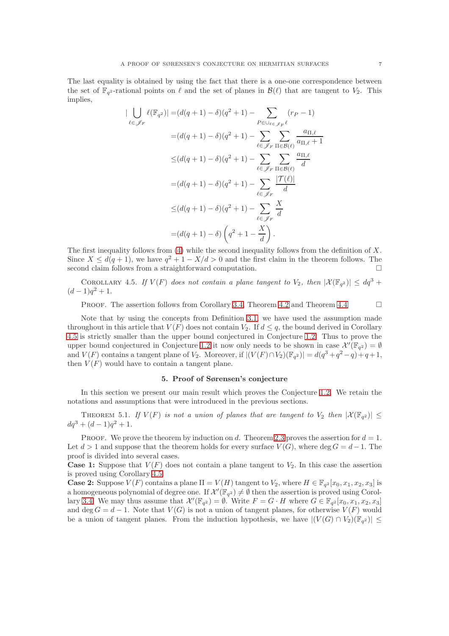The last equality is obtained by using the fact that there is a one-one correspondence between the set of  $\mathbb{F}_{q^2}$ -rational points on  $\ell$  and the set of planes in  $\mathcal{B}(\ell)$  that are tangent to  $V_2$ . This implies,

$$
\bigcup_{\ell \in \mathscr{J}_F} \ell(\mathbb{F}_{q^2}) = (d(q+1) - \delta)(q^2 + 1) - \sum_{P \in \bigcup_{\ell \in \mathscr{J}_F} \ell} (r_P - 1)
$$
  
=  $(d(q+1) - \delta)(q^2 + 1) - \sum_{\ell \in \mathscr{J}_F} \sum_{\Pi \in \mathcal{B}(\ell)} \frac{a_{\Pi, \ell}}{a_{\Pi, \ell} + 1}$   
 $\leq (d(q+1) - \delta)(q^2 + 1) - \sum_{\ell \in \mathscr{J}_F} \sum_{\Pi \in \mathcal{B}(\ell)} \frac{a_{\Pi, \ell}}{d}$   
=  $(d(q+1) - \delta)(q^2 + 1) - \sum_{\ell \in \mathscr{J}_F} \frac{|\mathcal{T}(\ell)|}{d}$   
 $\leq (d(q+1) - \delta)(q^2 + 1) - \sum_{\ell \in \mathscr{J}_F} \frac{X}{d}$   
=  $(d(q+1) - \delta) (q^2 + 1 - \frac{X}{d}).$ 

The first inequality follows from  $(4)$  while the second inequality follows from the definition of X. Since  $X \leq d(q+1)$ , we have  $q^2 + 1 - X/d > 0$  and the first claim in the theorem follows. The second claim follows from a straightforward computation.  $\Box$ 

<span id="page-6-0"></span>COROLLARY 4.5. If  $V(F)$  does not contain a plane tangent to  $V_2$ , then  $|\mathcal{X}(\mathbb{F}_{q^2})| \leq dq^3 +$  $(d-1)q^2+1$ .

PROOF. The assertion follows from Corollary [3.4,](#page-4-0) Theorem [4.2](#page-4-3) and Theorem [4.4](#page-5-1)

Note that by using the concepts from Definition [3.1,](#page-3-0) we have used the assumption made throughout in this article that  $V(F)$  does not contain  $V_2$ . If  $d \leq q$ , the bound derived in Corollary [4.5](#page-6-0) is strictly smaller than the upper bound conjectured in Conjecture [1.2.](#page-0-1) Thus to prove the upper bound conjectured in Conjecture [1.2](#page-0-1) it now only needs to be shown in case  $\mathcal{X}'(\mathbb{F}_{q^2}) = \emptyset$ and  $V(F)$  contains a tangent plane of  $V_2$ . Moreover, if  $|(V(F) \cap V_2)(\mathbb{F}_{q^2})| = d(q^3 + q^2 - q) + q + 1$ , then  $V(F)$  would have to contain a tangent plane.

### 5. Proof of Sørensen's conjecture

In this section we present our main result which proves the Conjecture [1.2.](#page-0-1) We retain the notations and assumptions that were introduced in the previous sections.

<span id="page-6-1"></span>THEOREM 5.1. If  $V(F)$  is not a union of planes that are tangent to  $V_2$  then  $|\mathcal{X}(\mathbb{F}_{q^2})| \leq$  $dq^{3} + (d - 1)q^{2} + 1.$ 

PROOF. We prove the theorem by induction on d. Theorem [2.3](#page-2-0) proves the assertion for  $d = 1$ . Let  $d > 1$  and suppose that the theorem holds for every surface  $V(G)$ , where  $\deg G = d-1$ . The proof is divided into several cases.

**Case 1:** Suppose that  $V(F)$  does not contain a plane tangent to  $V_2$ . In this case the assertion is proved using Corollary [4.5.](#page-6-0)

**Case 2:** Suppose  $V(F)$  contains a plane  $\Pi = V(H)$  tangent to  $V_2$ , where  $H \in \mathbb{F}_{q^2}[x_0, x_1, x_2, x_3]$  is a homogeneous polynomial of degree one. If  $\mathcal{X}'(\mathbb{F}_{q^2}) \neq \emptyset$  then the assertion is proved using Corol-lary [3.4.](#page-4-0) We may thus assume that  $\mathcal{X}'(\mathbb{F}_{q^2}) = \emptyset$ . Write  $F = G \cdot H$  where  $G \in \mathbb{F}_{q^2}[x_0, x_1, x_2, x_3]$ and deg  $G = d - 1$ . Note that  $V(G)$  is not a union of tangent planes, for otherwise  $V(F)$  would be a union of tangent planes. From the induction hypothesis, we have  $|(V(G) \cap V_2)(\mathbb{F}_{q^2})| \leq$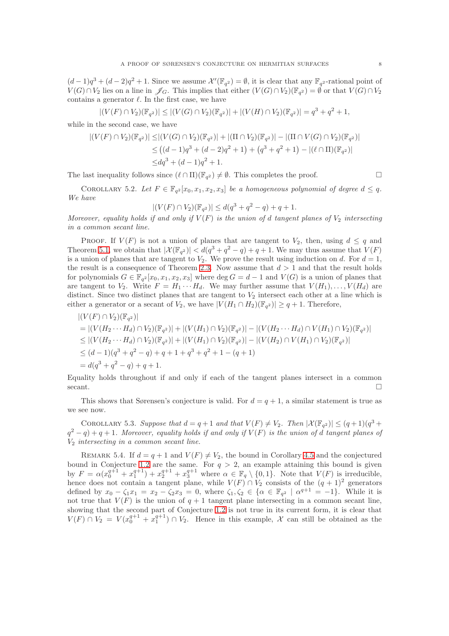$(d-1)q^3 + (d-2)q^2 + 1$ . Since we assume  $\mathcal{X}'(\mathbb{F}_{q^2}) = \emptyset$ , it is clear that any  $\mathbb{F}_{q^2}$ -rational point of  $V(G) \cap V_2$  lies on a line in  $\mathscr{J}_G$ . This implies that either  $(V(G) \cap V_2)(\mathbb{F}_{q^2}) = \emptyset$  or that  $V(G) \cap V_2$ contains a generator  $\ell$ . In the first case, we have

$$
|(V(F) \cap V_2)(\mathbb{F}_{q^2})| \le |(V(G) \cap V_2)(\mathbb{F}_{q^2})| + |(V(H) \cap V_2)(\mathbb{F}_{q^2})| = q^3 + q^2 + 1,
$$

while in the second case, we have

$$
|(V(F) \cap V_2)(\mathbb{F}_{q^2})| \le |(V(G) \cap V_2)(\mathbb{F}_{q^2})| + |(\Pi \cap V_2)(\mathbb{F}_{q^2})| - |(\Pi \cap V(G) \cap V_2)(\mathbb{F}_{q^2})|
$$
  
\n
$$
\le ((d-1)q^3 + (d-2)q^2 + 1) + (q^3 + q^2 + 1) - |(\ell \cap \Pi)(\mathbb{F}_{q^2})|
$$
  
\n
$$
\le dq^3 + (d-1)q^2 + 1.
$$

The last inequality follows since  $(\ell \cap \Pi)(\mathbb{F}_{q^2}) \neq \emptyset$ . This completes the proof.

COROLLARY 5.2. Let  $F \in \mathbb{F}_{q^2}[x_0, x_1, x_2, x_3]$  be a homogeneous polynomial of degree  $d \leq q$ . We have

$$
|(V(F) \cap V_2)(\mathbb{F}_{q^2})| \le d(q^3 + q^2 - q) + q + 1.
$$

Moreover, equality holds if and only if  $V(F)$  is the union of d tangent planes of  $V_2$  intersecting in a common secant line.

PROOF. If  $V(F)$  is not a union of planes that are tangent to  $V_2$ , then, using  $d \leq q$  and Theorem [5.1,](#page-6-1) we obtain that  $|\mathcal{X}(\mathbb{F}_{q^2})| < d(q^3 + q^2 - q) + q + 1$ . We may thus assume that  $V(F)$ is a union of planes that are tangent to  $V_2$ . We prove the result using induction on d. For  $d = 1$ , the result is a consequence of Theorem [2.3.](#page-2-0) Now assume that  $d > 1$  and that the result holds for polynomials  $G \in \mathbb{F}_{q^2}[x_0, x_1, x_2, x_3]$  where  $\deg G = d - 1$  and  $V(G)$  is a union of planes that are tangent to  $V_2$ . Write  $F = H_1 \cdots H_d$ . We may further assume that  $V(H_1), \ldots, V(H_d)$  are distinct. Since two distinct planes that are tangent to  $V_2$  intersect each other at a line which is either a generator or a secant of  $V_2$ , we have  $|V(H_1 \cap H_2)(\mathbb{F}_{q^2})| \ge q+1$ . Therefore,

$$
|(V(F) \cap V_2)(\mathbb{F}_{q^2})|
$$
  
= 
$$
|(V(H_2 \cdots H_d) \cap V_2)(\mathbb{F}_{q^2})| + |(V(H_1) \cap V_2)(\mathbb{F}_{q^2})| - |(V(H_2 \cdots H_d) \cap V(H_1) \cap V_2)(\mathbb{F}_{q^2})|
$$
  
\$\leq |(V(H\_2 \cdots H\_d) \cap V\_2)(\mathbb{F}\_{q^2})| + |(V(H\_1) \cap V\_2)(\mathbb{F}\_{q^2})| - |(V(H\_2) \cap V(H\_1) \cap V\_2)(\mathbb{F}\_{q^2})|\$  
\$\leq (d-1)(q^3 + q^2 - q) + q + 1 + q^3 + q^2 + 1 - (q + 1)\$  
=  $d(q^3 + q^2 - q) + q + 1.$ 

Equality holds throughout if and only if each of the tangent planes intersect in a common secant.

This shows that Sørensen's conjecture is valid. For  $d = q + 1$ , a similar statement is true as we see now.

COROLLARY 5.3. Suppose that  $d = q + 1$  and that  $V(F) \neq V_2$ . Then  $|\mathcal{X}(\mathbb{F}_{q^2})| \leq (q+1)(q^3 +$  $q^2-q)+q+1$ . Moreover, equality holds if and only if  $V(F)$  is the union of d tangent planes of  $V_2$  intersecting in a common secant line.

REMARK 5.4. If  $d = q + 1$  and  $V(F) \neq V_2$ , the bound in Corollary [4.5](#page-6-0) and the conjectured bound in Conjecture [1.2](#page-0-1) are the same. For  $q > 2$ , an example attaining this bound is given by  $F = \alpha(x_0^{q+1} + x_1^{q+1}) + x_2^{q+1} + x_3^{q+1}$  where  $\alpha \in \mathbb{F}_q \setminus \{0,1\}$ . Note that  $V(F)$  is irreducible, hence does not contain a tangent plane, while  $V(F) \cap V_2$  consists of the  $(q + 1)^2$  generators defined by  $x_0 - \zeta_1 x_1 = x_2 - \zeta_2 x_3 = 0$ , where  $\zeta_1, \zeta_2 \in {\alpha \in \mathbb{F}_{q^2} \mid \alpha^{q+1} = -1}$ . While it is not true that  $V(F)$  is the union of  $q + 1$  tangent plane intersecting in a common secant line, showing that the second part of Conjecture [1.2](#page-0-1) is not true in its current form, it is clear that  $V(F) \cap V_2 = V(x_0^{q+1} + x_1^{q+1}) \cap V_2$ . Hence in this example, X can still be obtained as the